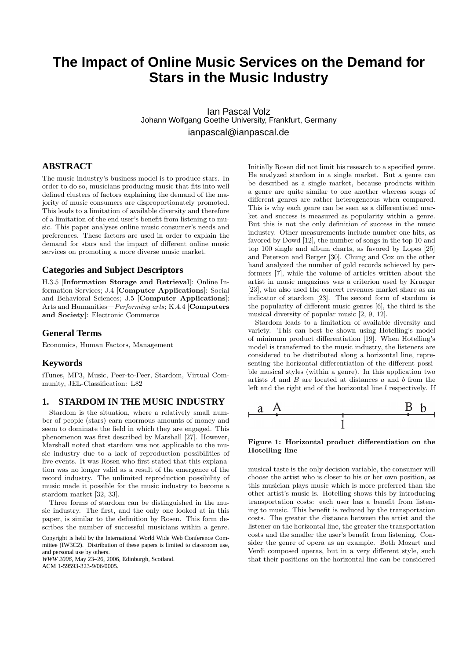# **The Impact of Online Music Services on the Demand for Stars in the Music Industry**

Ian Pascal Volz Johann Wolfgang Goethe University, Frankfurt, Germany ianpascal@ianpascal.de

# **ABSTRACT**

The music industry's business model is to produce stars. In order to do so, musicians producing music that fits into well defined clusters of factors explaining the demand of the majority of music consumers are disproportionately promoted. This leads to a limitation of available diversity and therefore of a limitation of the end user's benefit from listening to music. This paper analyses online music consumer's needs and preferences. These factors are used in order to explain the demand for stars and the impact of different online music services on promoting a more diverse music market.

## **Categories and Subject Descriptors**

H.3.5 [Information Storage and Retrieval]: Online Information Services; J.4 [Computer Applications]: Social and Behavioral Sciences; J.5 [Computer Applications]: Arts and Humanities—Performing arts; K.4.4 [Computers and Society]: Electronic Commerce

#### **General Terms**

Economics, Human Factors, Management

#### **Keywords**

iTunes, MP3, Music, Peer-to-Peer, Stardom, Virtual Community, JEL-Classification: L82

### **1. STARDOM IN THE MUSIC INDUSTRY**

Stardom is the situation, where a relatively small number of people (stars) earn enormous amounts of money and seem to dominate the field in which they are engaged. This phenomenon was first described by Marshall [27]. However, Marshall noted that stardom was not applicable to the music industry due to a lack of reproduction possibilities of live events. It was Rosen who first stated that this explanation was no longer valid as a result of the emergence of the record industry. The unlimited reproduction possibility of music made it possible for the music industry to become a stardom market [32, 33].

Three forms of stardom can be distinguished in the music industry. The first, and the only one looked at in this paper, is similar to the definition by Rosen. This form describes the number of successful musicians within a genre.

Copyright is held by the International World Wide Web Conference Committee (IW3C2). Distribution of these papers is limited to classroom use, and personal use by others.

*WWW 2006*, May 23–26, 2006, Edinburgh, Scotland. ACM 1-59593-323-9/06/0005.

Initially Rosen did not limit his research to a specified genre. He analyzed stardom in a single market. But a genre can be described as a single market, because products within a genre are quite similar to one another whereas songs of different genres are rather heterogeneous when compared. This is why each genre can be seen as a differentiated market and success is measured as popularity within a genre. But this is not the only definition of success in the music industry. Other measurements include number one hits, as favored by Dowd [12], the number of songs in the top 10 and top 100 single and album charts, as favored by Lopes [25] and Peterson and Berger [30]. Chung and Cox on the other hand analyzed the number of gold records achieved by performers [7], while the volume of articles written about the artist in music magazines was a criterion used by Krueger [23], who also used the concert revenues market share as an indicator of stardom [23]. The second form of stardom is the popularity of different music genres [6], the third is the musical diversity of popular music [2, 9, 12].

Stardom leads to a limitation of available diversity and variety. This can best be shown using Hotelling's model of minimum product differentiation [19]. When Hotelling's model is transferred to the music industry, the listeners are considered to be distributed along a horizontal line, representing the horizontal differentiation of the different possible musical styles (within a genre). In this application two artists  $A$  and  $B$  are located at distances  $a$  and  $b$  from the left and the right end of the horizontal line  $l$  respectively. If



Figure 1: Horizontal product differentiation on the Hotelling line

musical taste is the only decision variable, the consumer will choose the artist who is closer to his or her own position, as this musician plays music which is more preferred than the other artist's music is. Hotelling shows this by introducing transportation costs: each user has a benefit from listening to music. This benefit is reduced by the transportation costs. The greater the distance between the artist and the listener on the horizontal line, the greater the transportation costs and the smaller the user's benefit from listening. Consider the genre of opera as an example. Both Mozart and Verdi composed operas, but in a very different style, such that their positions on the horizontal line can be considered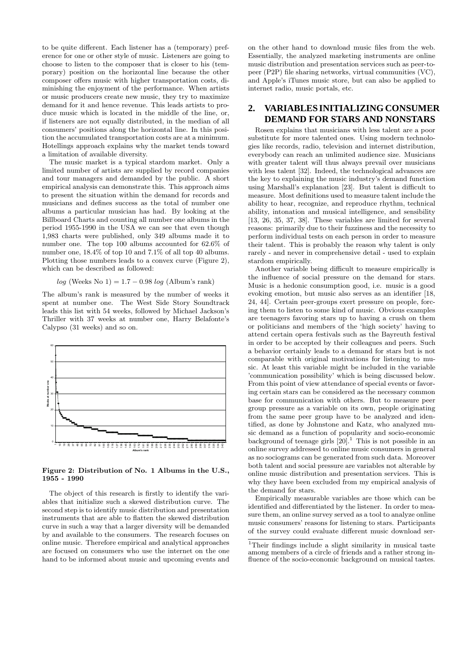to be quite different. Each listener has a (temporary) preference for one or other style of music. Listeners are going to choose to listen to the composer that is closer to his (temporary) position on the horizontal line because the other composer offers music with higher transportation costs, diminishing the enjoyment of the performance. When artists or music producers create new music, they try to maximize demand for it and hence revenue. This leads artists to produce music which is located in the middle of the line, or, if listeners are not equally distributed, in the median of all consumers' positions along the horizontal line. In this position the accumulated transportation costs are at a minimum. Hotellings approach explains why the market tends toward a limitation of available diversity.

The music market is a typical stardom market. Only a limited number of artists are supplied by record companies and tour managers and demanded by the public. A short empirical analysis can demonstrate this. This approach aims to present the situation within the demand for records and musicians and defines success as the total of number one albums a particular musician has had. By looking at the Billboard Charts and counting all number one albums in the period 1955-1990 in the USA we can see that even though 1,983 charts were published, only 349 albums made it to number one. The top 100 albums accounted for 62.6% of number one, 18.4% of top 10 and 7.1% of all top 40 albums. Plotting those numbers leads to a convex curve (Figure 2), which can be described as followed:

 $log$  (Weeks No 1) = 1.7 – 0.98  $log$  (Album's rank)

The album's rank is measured by the number of weeks it spent at number one. The West Side Story Soundtrack leads this list with 54 weeks, followed by Michael Jackson's Thriller with 37 weeks at number one, Harry Belafonte's Calypso (31 weeks) and so on.



#### Figure 2: Distribution of No. 1 Albums in the U.S., 1955 - 1990

The object of this research is firstly to identify the variables that initialize such a skewed distribution curve. The second step is to identify music distribution and presentation instruments that are able to flatten the skewed distribution curve in such a way that a larger diversity will be demanded by and available to the consumers. The research focuses on online music. Therefore empirical and analytical approaches are focused on consumers who use the internet on the one hand to be informed about music and upcoming events and

on the other hand to download music files from the web. Essentially, the analyzed marketing instruments are online music distribution and presentation services such as peer-topeer (P2P) file sharing networks, virtual communities (VC), and Apple's iTunes music store, but can also be applied to internet radio, music portals, etc.

## **2. VARIABLES INITIALIZING CONSUMER DEMAND FOR STARS AND NONSTARS**

Rosen explains that musicians with less talent are a poor substitute for more talented ones. Using modern technologies like records, radio, television and internet distribution, everybody can reach an unlimited audience size. Musicians with greater talent will thus always prevail over musicians with less talent [32]. Indeed, the technological advances are the key to explaining the music industry's demand function using Marshall's explanation [23]. But talent is difficult to measure. Most definitions used to measure talent include the ability to hear, recognize, and reproduce rhythm, technical ability, intonation and musical intelligence, and sensibility [13, 26, 35, 37, 38]. These variables are limited for several reasons: primarily due to their fuzziness and the necessity to perform individual tests on each person in order to measure their talent. This is probably the reason why talent is only rarely - and never in comprehensive detail - used to explain stardom empirically.

Another variable being difficult to measure empirically is the influence of social pressure on the demand for stars. Music is a hedonic consumption good, i.e. music is a good evoking emotion, but music also serves as an identifier [18, 24, 44]. Certain peer-groups exert pressure on people, forcing them to listen to some kind of music. Obvious examples are teenagers favoring stars up to having a crush on them or politicians and members of the 'high society' having to attend certain opera festivals such as the Bayreuth festival in order to be accepted by their colleagues and peers. Such a behavior certainly leads to a demand for stars but is not comparable with original motivations for listening to music. At least this variable might be included in the variable 'communication possibility' which is being discussed below. From this point of view attendance of special events or favoring certain stars can be considered as the necessary common base for communication with others. But to measure peer group pressure as a variable on its own, people originating from the same peer group have to be analyzed and identified, as done by Johnstone and Katz, who analyzed music demand as a function of popularity and socio-economic background of teenage girls  $[20]$ .<sup>1</sup> This is not possible in an online survey addressed to online music consumers in general as no sociograms can be generated from such data. Moreover both talent and social pressure are variables not alterable by online music distribution and presentation services. This is why they have been excluded from my empirical analysis of the demand for stars.

Empirically measurable variables are those which can be identified and differentiated by the listener. In order to measure them, an online survey served as a tool to analyze online music consumers' reasons for listening to stars. Participants of the survey could evaluate different music download ser-

<sup>&</sup>lt;sup>1</sup>Their findings include a slight similarity in musical taste among members of a circle of friends and a rather strong influence of the socio-economic background on musical tastes.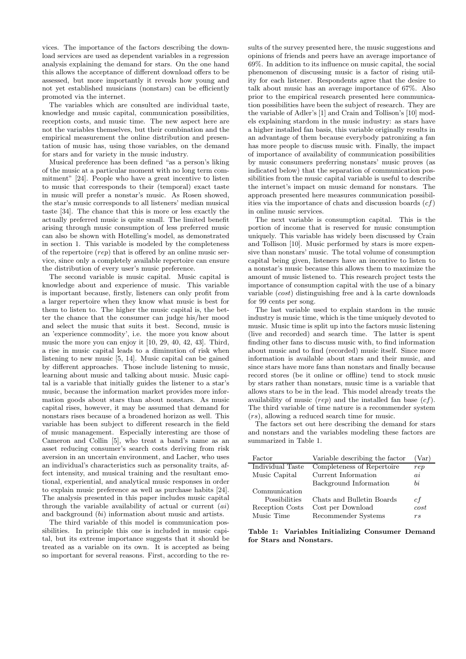vices. The importance of the factors describing the download services are used as dependent variables in a regression analysis explaining the demand for stars. On the one hand this allows the acceptance of different download offers to be assessed, but more importantly it reveals how young and not yet established musicians (nonstars) can be efficiently promoted via the internet.

The variables which are consulted are individual taste, knowledge and music capital, communication possibilities, reception costs, and music time. The new aspect here are not the variables themselves, but their combination and the empirical measurement the online distribution and presentation of music has, using those variables, on the demand for stars and for variety in the music industry.

Musical preference has been defined "as a person's liking of the music at a particular moment with no long term commitment" [24]. People who have a great incentive to listen to music that corresponds to their (temporal) exact taste in music will prefer a nonstar's music. As Rosen showed, the star's music corresponds to all listeners' median musical taste [34]. The chance that this is more or less exactly the actually preferred music is quite small. The limited benefit arising through music consumption of less preferred music can also be shown with Hotelling's model, as demonstrated in section 1. This variable is modeled by the completeness of the repertoire  $(rep)$  that is offered by an online music service, since only a completely available repertoire can ensure the distribution of every user's music preference.

The second variable is music capital. Music capital is knowledge about and experience of music. This variable is important because, firstly, listeners can only profit from a larger repertoire when they know what music is best for them to listen to. The higher the music capital is, the better the chance that the consumer can judge his/her mood and select the music that suits it best. Second, music is an 'experience commodity', i.e. the more you know about music the more you can enjoy it [10, 29, 40, 42, 43]. Third, a rise in music capital leads to a diminution of risk when listening to new music [5, 14]. Music capital can be gained by different approaches. Those include listening to music, learning about music and talking about music. Music capital is a variable that initially guides the listener to a star's music, because the information market provides more information goods about stars than about nonstars. As music capital rises, however, it may be assumed that demand for nonstars rises because of a broadened horizon as well. This variable has been subject to different research in the field of music management. Especially interesting are those of Cameron and Collin [5], who treat a band's name as an asset reducing consumer's search costs deriving from risk aversion in an uncertain environment, and Lacher, who uses an individual's characteristics such as personality traits, affect intensity, and musical training and the resultant emotional, experiential, and analytical music responses in order to explain music preference as well as purchase habits [24]. The analysis presented in this paper includes music capital through the variable availability of actual or current  $(ai)$ and background (bi) information about music and artists.

The third variable of this model is communication possibilities. In principle this one is included in music capital, but its extreme importance suggests that it should be treated as a variable on its own. It is accepted as being so important for several reasons. First, according to the re-

sults of the survey presented here, the music suggestions and opinions of friends and peers have an average importance of 69%. In addition to its influence on music capital, the social phenomenon of discussing music is a factor of rising utility for each listener. Respondents agree that the desire to talk about music has an average importance of 67%. Also prior to the empirical research presented here communication possibilities have been the subject of research. They are the variable of Adler's [1] and Crain and Tollison's [10] models explaining stardom in the music industry: as stars have a higher installed fan basis, this variable originally results in an advantage of them because everybody patronizing a fan has more people to discuss music with. Finally, the impact of importance of availability of communication possibilities by music consumers preferring nonstars' music proves (as indicated below) that the separation of communication possibilities from the music capital variable is useful to describe the internet's impact on music demand for nonstars. The approach presented here measures communication possibilities via the importance of chats and discussion boards  $(cf)$ in online music services.

The next variable is consumption capital. This is the portion of income that is reserved for music consumption uniquely. This variable has widely been discussed by Crain and Tollison [10]. Music performed by stars is more expensive than nonstars' music. The total volume of consumption capital being given, listeners have an incentive to listen to a nonstar's music because this allows them to maximize the amount of music listened to. This research project tests the importance of consumption capital with the use of a binary variable  $(cost)$  distinguishing free and  $\grave{a}$  la carte downloads for 99 cents per song.

The last variable used to explain stardom in the music industry is music time, which is the time uniquely devoted to music. Music time is split up into the factors music listening (live and recorded) and search time. The latter is spent finding other fans to discuss music with, to find information about music and to find (recorded) music itself. Since more information is available about stars and their music, and since stars have more fans than nonstars and finally because record stores (be it online or offline) tend to stock music by stars rather than nonstars, music time is a variable that allows stars to be in the lead. This model already treats the availability of music  $(rep)$  and the installed fan base  $(cf)$ . The third variable of time nature is a recommender system (rs), allowing a reduced search time for music.

The factors set out here describing the demand for stars and nonstars and the variables modeling these factors are summarized in Table 1.

| Factor           | Variable describing the factor | (Var)       |
|------------------|--------------------------------|-------------|
| Individual Taste | Completeness of Repertoire     | rep         |
| Music Capital    | Current Information            | аi          |
|                  | Background Information         | bi          |
| Communication    |                                |             |
| Possibilities    | Chats and Bulletin Boards      | c f         |
| Reception Costs  | Cost per Download              | cost        |
| Music Time       | Recommender Systems            | $r_{\rm S}$ |

Table 1: Variables Initializing Consumer Demand for Stars and Nonstars.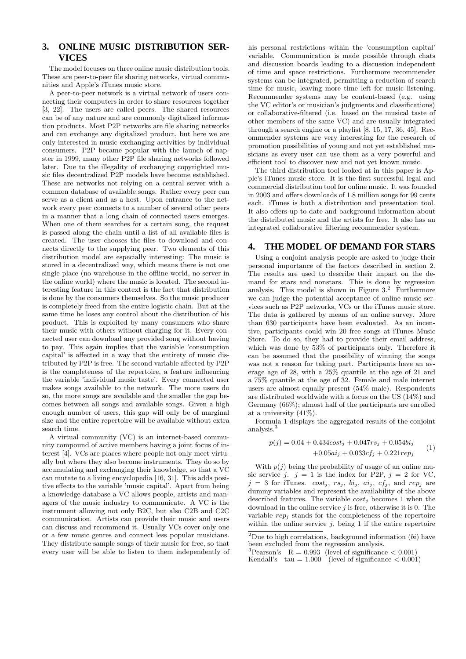# **3. ONLINE MUSIC DISTRIBUTION SER-VICES**

The model focuses on three online music distribution tools. These are peer-to-peer file sharing networks, virtual communities and Apple's iTunes music store.

A peer-to-peer network is a virtual network of users connecting their computers in order to share resources together [3, 22]. The users are called peers. The shared resources can be of any nature and are commonly digitalized information products. Most P2P networks are file sharing networks and can exchange any digitalized product, but here we are only interested in music exchanging activities by individual consumers. P2P became popular with the launch of napster in 1999, many other P2P file sharing networks followed later. Due to the illegality of exchanging copyrighted music files decentralized P2P models have become established. These are networks not relying on a central server with a common database of available songs. Rather every peer can serve as a client and as a host. Upon entrance to the network every peer connects to a number of several other peers in a manner that a long chain of connected users emerges. When one of them searches for a certain song, the request is passed along the chain until a list of all available files is created. The user chooses the files to download and connects directly to the supplying peer. Two elements of this distribution model are especially interesting: The music is stored in a decentralized way, which means there is not one single place (no warehouse in the offline world, no server in the online world) where the music is located. The second interesting feature in this context is the fact that distribution is done by the consumers themselves. So the music producer is completely freed from the entire logistic chain. But at the same time he loses any control about the distribution of his product. This is exploited by many consumers who share their music with others without charging for it. Every connected user can download any provided song without having to pay. This again implies that the variable 'consumption capital' is affected in a way that the entirety of music distributed by P2P is free. The second variable affected by P2P is the completeness of the repertoire, a feature influencing the variable 'individual music taste'. Every connected user makes songs available to the network. The more users do so, the more songs are available and the smaller the gap becomes between all songs and available songs. Given a high enough number of users, this gap will only be of marginal size and the entire repertoire will be available without extra search time.

A virtual community (VC) is an internet-based community compound of active members having a joint focus of interest [4]. VCs are places where people not only meet virtually but where they also become instruments. They do so by accumulating and exchanging their knowledge, so that a VC can mutate to a living encyclopedia [16, 31]. This adds positive effects to the variable 'music capital'. Apart from being a knowledge database a VC allows people, artists and managers of the music industry to communicate. A VC is the instrument allowing not only B2C, but also C2B and C2C communication. Artists can provide their music and users can discuss and recommend it. Usually VCs cover only one or a few music genres and connect less popular musicians. They distribute sample songs of their music for free, so that every user will be able to listen to them independently of

his personal restrictions within the 'consumption capital' variable. Communication is made possible through chats and discussion boards leading to a discussion independent of time and space restrictions. Furthermore recommender systems can be integrated, permitting a reduction of search time for music, leaving more time left for music listening. Recommender systems may be content-based (e.g. using the VC editor's or musician's judgments and classifications) or collaborative-filtered (i.e. based on the musical taste of other members of the same VC) and are usually integrated through a search engine or a playlist [8, 15, 17, 36, 45]. Recommender systems are very interesting for the research of promotion possibilities of young and not yet established musicians as every user can use them as a very powerful and efficient tool to discover new and not yet known music.

The third distribution tool looked at in this paper is Apple's iTunes music store. It is the first successful legal and commercial distribution tool for online music. It was founded in 2003 and offers downloads of 1.8 million songs for 99 cents each. iTunes is both a distribution and presentation tool. It also offers up-to-date and background information about the distributed music and the artists for free. It also has an integrated collaborative filtering recommender system.

### **4. THE MODEL OF DEMAND FOR STARS**

Using a conjoint analysis people are asked to judge their personal importance of the factors described in section 2. The results are used to describe their impact on the demand for stars and nonstars. This is done by regression analysis. This model is shown in Figure  $3<sup>2</sup>$  Furthermore we can judge the potential acceptance of online music services such as P2P networks, VCs or the iTunes music store. The data is gathered by means of an online survey. More than 630 participants have been evaluated. As an incentive, participants could win 20 free songs at iTunes Music Store. To do so, they had to provide their email address, which was done by 53% of participants only. Therefore it can be assumed that the possibility of winning the songs was not a reason for taking part. Participants have an average age of 28, with a 25% quantile at the age of 21 and a 75% quantile at the age of 32. Female and male internet users are almost equally present (54% male). Respondents are distributed worldwide with a focus on the US (14%) and Germany (66%); almost half of the participants are enrolled at a university (41%).

Formula 1 displays the aggregated results of the conjoint analysis.<sup>3</sup>

$$
p(j) = 0.04 + 0.434 \cos t_j + 0.047 \text{rs}_j + 0.054 \text{bi}_j + 0.05 \text{a} i_j + 0.033 \text{cf}_j + 0.221 \text{rep}_j \tag{1}
$$

With  $p(j)$  being the probability of usage of an online music service j.  $j = 1$  is the index for P2P,  $j = 2$  for VC,  $j = 3$  for iTunes.  $cost_j$ ,  $rs_j$ ,  $bi_j$ ,  $ai_j$ ,  $cf_j$ , and  $rep_j$  are dummy variables and represent the availability of the above described features. The variable  $cost_j$  becomes 1 when the download in the online service  $j$  is free, otherwise it is 0. The variable  $rep<sub>i</sub>$  stands for the completeness of the repertoire within the online service  $j$ , being 1 if the entire repertoire

<sup>&</sup>lt;sup>2</sup>Due to high correlations, background information  $(bi)$  have been excluded from the regression analysis.

 ${}^{3}$ Pearson's R = 0.993 (level of significance  $<$  0.001)

Kendall's tau  $= 1.000$  (level of significance  $< 0.001$ )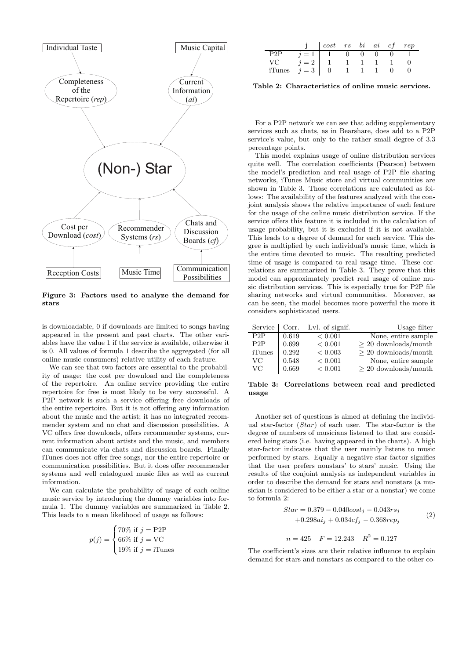

Figure 3: Factors used to analyze the demand for stars

is downloadable, 0 if downloads are limited to songs having appeared in the present and past charts. The other variables have the value 1 if the service is available, otherwise it is 0. All values of formula 1 describe the aggregated (for all online music consumers) relative utility of each feature.

We can see that two factors are essential to the probability of usage: the cost per download and the completeness of the repertoire. An online service providing the entire repertoire for free is most likely to be very successful. A P2P network is such a service offering free downloads of the entire repertoire. But it is not offering any information about the music and the artist; it has no integrated recommender system and no chat and discussion possibilities. A VC offers free downloads, offers recommender systems, current information about artists and the music, and members can communicate via chats and discussion boards. Finally iTunes does not offer free songs, nor the entire repertoire or communication possibilities. But it does offer recommender systems and well catalogued music files as well as current information.

We can calculate the probability of usage of each online music service by introducing the dummy variables into formula 1. The dummy variables are summarized in Table 2. This leads to a mean likelihood of usage as follows:

$$
p(j) = \begin{cases} 70\% \text{ if } j = \text{P2P} \\ 66\% \text{ if } j = \text{VC} \\ 19\% \text{ if } j = \text{iTunes} \end{cases}
$$

|        |               | j cost rs bi ai cf rep |                     |                     |  |
|--------|---------------|------------------------|---------------------|---------------------|--|
|        | $j=1$ 1 0 0 0 |                        |                     |                     |  |
| VC –   | $j=2$   1     |                        |                     | $1 \quad 1 \quad 1$ |  |
| iTunes | $j=3$ 0       |                        | $1 \quad 1 \quad 1$ |                     |  |

Table 2: Characteristics of online music services.

For a P2P network we can see that adding supplementary services such as chats, as in Bearshare, does add to a P2P service's value, but only to the rather small degree of 3.3 percentage points.

This model explains usage of online distribution services quite well. The correlation coefficients (Pearson) between the model's prediction and real usage of P2P file sharing networks, iTunes Music store and virtual communities are shown in Table 3. Those correlations are calculated as follows: The availability of the features analyzed with the conjoint analysis shows the relative importance of each feature for the usage of the online music distribution service. If the service offers this feature it is included in the calculation of usage probability, but it is excluded if it is not available. This leads to a degree of demand for each service. This degree is multiplied by each individual's music time, which is the entire time devoted to music. The resulting predicted time of usage is compared to real usage time. These correlations are summarized in Table 3. They prove that this model can approximately predict real usage of online music distribution services. This is especially true for P2P file sharing networks and virtual communities. Moreover, as can be seen, the model becomes more powerful the more it considers sophisticated users.

|                |       | Service Corr. Lvl. of signif. | Usage filter              |
|----------------|-------|-------------------------------|---------------------------|
| P2P            | 0.619 | < 0.001                       | None, entire sample       |
| P2P            | 0.699 | < 0.001                       | $\geq 20$ downloads/month |
| <i>i</i> Tunes | 0.292 | < 0.003                       | $\geq 20$ downloads/month |
| VC             | 0.548 | < 0.001                       | None, entire sample       |
| VC             | 0.669 | < 0.001                       | $\geq 20$ downloads/month |

Table 3: Correlations between real and predicted usage

Another set of questions is aimed at defining the individual star-factor  $(Star)$  of each user. The star-factor is the degree of numbers of musicians listened to that are considered being stars (i.e. having appeared in the charts). A high star-factor indicates that the user mainly listens to music performed by stars. Equally a negative star-factor signifies that the user prefers nonstars' to stars' music. Using the results of the conjoint analysis as independent variables in order to describe the demand for stars and nonstars (a musician is considered to be either a star or a nonstar) we come to formula 2:

$$
Star = 0.379 - 0.040 \cos t_j - 0.043 \, rs_j
$$
  
+0.298 \, ai\_j + 0.034 \, cf\_j - 0.368 \, rep\_j \tag{2}

$$
n = 425 \quad F = 12.243 \quad R^2 = 0.127
$$

The coefficient's sizes are their relative influence to explain demand for stars and nonstars as compared to the other co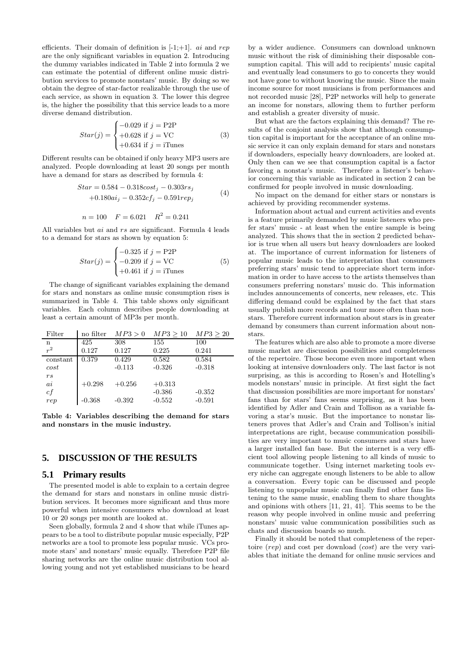efficients. Their domain of definition is  $[-1;+1]$ . *ai* and rep are the only significant variables in equation 2. Introducing the dummy variables indicated in Table 2 into formula 2 we can estimate the potential of different online music distribution services to promote nonstars' music. By doing so we obtain the degree of star-factor realizable through the use of each service, as shown in equation 3. The lower this degree is, the higher the possibility that this service leads to a more diverse demand distribution.

$$
Star(j) = \begin{cases}\n-0.029 \text{ if } j = P2P \\
+0.628 \text{ if } j = VC \\
+0.634 \text{ if } j = \text{iTunes}\n\end{cases}
$$
\n(3)

Different results can be obtained if only heavy MP3 users are analyzed. People downloading at least 20 songs per month have a demand for stars as described by formula 4:

$$
Star = 0.584 - 0.318 \cos t_j - 0.303 \, rs_j
$$
  
+0.180 \, ai\_j - 0.352 \, cf\_j - 0.591 \, rep\_j \tag{4}

$$
n = 100 \quad F = 6.021 \quad R^2 = 0.241
$$

All variables but ai and rs are significant. Formula 4 leads to a demand for stars as shown by equation 5:

$$
Star(j) = \begin{cases}\n-0.325 \text{ if } j = \text{P2P} \\
-0.209 \text{ if } j = \text{VC} \\
+0.461 \text{ if } j = \text{iTunes}\n\end{cases}
$$
\n(5)

The change of significant variables explaining the demand for stars and nonstars as online music consumption rises is summarized in Table 4. This table shows only significant variables. Each column describes people downloading at least a certain amount of MP3s per month.

| Filter          | no filter | MP3 > 0  | $MP3 \geq 10$ | $MP3 \geq 20$ |
|-----------------|-----------|----------|---------------|---------------|
| $\mathbf n$     | 425       | 308      | 155           | 100           |
| $r^2$           | 0.127     | 0.127    | 0.225         | 0.241         |
| constant        | 0.379     | 0.429    | 0.582         | 0.584         |
| cost            |           | $-0.113$ | $-0.326$      | $-0.318$      |
| r <sub>s</sub>  |           |          |               |               |
| $\overline{ai}$ | $+0.298$  | $+0.256$ | $+0.313$      |               |
| cf              |           |          | $-0.386$      | $-0.352$      |
| rep             | $-0.368$  | $-0.392$ | $-0.552$      | $-0.591$      |

Table 4: Variables describing the demand for stars and nonstars in the music industry.

# **5. DISCUSSION OF THE RESULTS**

### **5.1 Primary results**

The presented model is able to explain to a certain degree the demand for stars and nonstars in online music distribution services. It becomes more significant and thus more powerful when intensive consumers who download at least 10 or 20 songs per month are looked at.

Seen globally, formula 2 and 4 show that while iTunes appears to be a tool to distribute popular music especially, P2P networks are a tool to promote less popular music. VCs promote stars' and nonstars' music equally. Therefore P2P file sharing networks are the online music distribution tool allowing young and not yet established musicians to be heard

by a wider audience. Consumers can download unknown music without the risk of diminishing their disposable consumption capital. This will add to recipients' music capital and eventually lead consumers to go to concerts they would not have gone to without knowing the music. Since the main income source for most musicians is from performances and not recorded music [28], P2P networks will help to generate an income for nonstars, allowing them to further perform and establish a greater diversity of music.

But what are the factors explaining this demand? The results of the conjoint analysis show that although consumption capital is important for the acceptance of an online music service it can only explain demand for stars and nonstars if downloaders, especially heavy downloaders, are looked at. Only then can we see that consumption capital is a factor favoring a nonstar's music. Therefore a listener's behavior concerning this variable as indicated in section 2 can be confirmed for people involved in music downloading.

No impact on the demand for either stars or nonstars is achieved by providing recommender systems.

Information about actual and current activities and events is a feature primarily demanded by music listeners who prefer stars' music - at least when the entire sample is being analyzed. This shows that the in section 2 predicted behavior is true when all users but heavy downloaders are looked at. The importance of current information for listeners of popular music leads to the interpretation that consumers preferring stars' music tend to appreciate short term information in order to have access to the artists themselves than consumers preferring nonstars' music do. This information includes announcements of concerts, new releases, etc. This differing demand could be explained by the fact that stars usually publish more records and tour more often than nonstars. Therefore current information about stars is in greater demand by consumers than current information about nonstars.

The features which are also able to promote a more diverse music market are discussion possibilities and completeness of the repertoire. Those become even more important when looking at intensive downloaders only. The last factor is not surprising, as this is according to Rosen's and Hotelling's models nonstars' music in principle. At first sight the fact that discussion possibilities are more important for nonstars' fans than for stars' fans seems surprising, as it has been identified by Adler and Crain and Tollison as a variable favoring a star's music. But the importance to nonstar listeners proves that Adler's and Crain and Tollison's initial interpretations are right, because communication possibilities are very important to music consumers and stars have a larger installed fan base. But the internet is a very efficient tool allowing people listening to all kinds of music to communicate together. Using internet marketing tools every niche can aggregate enough listeners to be able to allow a conversation. Every topic can be discussed and people listening to unpopular music can finally find other fans listening to the same music, enabling them to share thoughts and opinions with others [11, 21, 41]. This seems to be the reason why people involved in online music and preferring nonstars' music value communication possibilities such as chats and discussion boards so much.

Finally it should be noted that completeness of the repertoire  $(rep)$  and cost per download  $(cost)$  are the very variables that initiate the demand for online music services and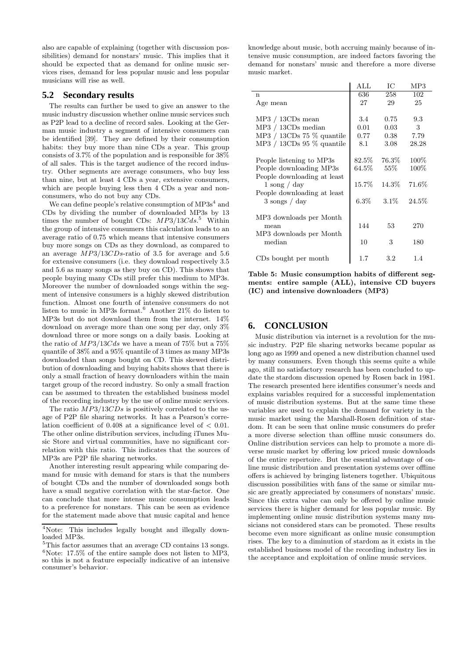also are capable of explaining (together with discussion possibilities) demand for nonstars' music. This implies that it should be expected that as demand for online music services rises, demand for less popular music and less popular musicians will rise as well.

#### **5.2 Secondary results**

The results can further be used to give an answer to the music industry discussion whether online music services such as P2P lead to a decline of record sales. Looking at the German music industry a segment of intensive consumers can be identified [39]. They are defined by their consumption habits: they buy more than nine CDs a year. This group consists of 3.7% of the population and is responsible for 38% of all sales. This is the target audience of the record industry. Other segments are average consumers, who buy less than nine, but at least 4 CDs a year, extensive consumers, which are people buying less then 4 CDs a year and nonconsumers, who do not buy any CDs.

We can define people's relative consumption of  $MP3s<sup>4</sup>$  and CDs by dividing the number of downloaded MP3s by 13 times the number of bought CDs:  $MP3/13Cds$ <sup>5</sup> Within the group of intensive consumers this calculation leads to an average ratio of 0.75 which means that intensive consumers buy more songs on CDs as they download, as compared to an average MP3/13CDs-ratio of 3.5 for average and 5.6 for extensive consumers (i.e. they download respectively 3.5 and 5.6 as many songs as they buy on CD). This shows that people buying many CDs still prefer this medium to MP3s. Moreover the number of downloaded songs within the segment of intensive consumers is a highly skewed distribution function. Almost one fourth of intensive consumers do not listen to music in MP3s format.<sup>6</sup> Another 21% do listen to MP3s but do not download them from the internet. 14% download on average more than one song per day, only 3% download three or more songs on a daily basis. Looking at the ratio of  $MP3/13Cds$  we have a mean of 75% but a 75% quantile of 38% and a 95% quantile of 3 times as many MP3s downloaded than songs bought on CD. This skewed distribution of downloading and buying habits shows that there is only a small fraction of heavy downloaders within the main target group of the record industry. So only a small fraction can be assumed to threaten the established business model of the recording industry by the use of online music services.

The ratio  $MP3/13CDs$  is positively correlated to the usage of P2P file sharing networks. It has a Pearson's correlation coefficient of  $0.408$  at a significance level of  $< 0.01$ . The other online distribution services, including iTunes Music Store and virtual communities, have no significant correlation with this ratio. This indicates that the sources of MP3s are P2P file sharing networks.

Another interesting result appearing while comparing demand for music with demand for stars is that the numbers of bought CDs and the number of downloaded songs both have a small negative correlation with the star-factor. One can conclude that more intense music consumption leads to a preference for nonstars. This can be seen as evidence for the statement made above that music capital and hence

knowledge about music, both accruing mainly because of intensive music consumption, are indeed factors favoring the demand for nonstars' music and therefore a more diverse music market.

|                             | ALL      | ĪС          | MP3     |
|-----------------------------|----------|-------------|---------|
| n                           | 636      | 258         | 102     |
| Age mean                    | 27       | 29          | 25      |
|                             |          |             |         |
| $MP3 / 13CDs$ mean          | 3.4      | 0.75        | 9.3     |
| $MP3 / 13CDs$ median        | 0.01     | 0.03        | 3       |
| $MP3 / 13CDs$ 75 % quantile | 0.77     | 0.38        | 7.79    |
| MP3 / 13CDs 95 % quantile   | 8.1      | 3.08        | 28.28   |
|                             |          |             |         |
| People listening to MP3s    |          | 82.5% 76.3% | $100\%$ |
| People downloading MP3s     | 64.5%    | $55\%$      | $100\%$ |
| People downloading at least |          |             |         |
| $1$ song / day              | $15.7\%$ | $14.3\%$    | 71.6%   |
| People downloading at least |          |             |         |
| 3 songs / day               | $6.3\%$  | $3.1\%$     | 24.5\%  |
|                             |          |             |         |
| MP3 downloads per Month     |          |             |         |
| mean                        | 144      | 53          | 270     |
| MP3 downloads per Month     |          |             |         |
| median                      | 10       | 3           | 180     |
|                             |          |             |         |
|                             | $1.7\,$  | 3.2         | 1.4     |
| CDs bought per month        |          |             |         |

Table 5: Music consumption habits of different segments: entire sample (ALL), intensive CD buyers (IC) and intensive downloaders (MP3)

# **6. CONCLUSION**

Music distribution via internet is a revolution for the music industry. P2P file sharing networks became popular as long ago as 1999 and opened a new distribution channel used by many consumers. Even though this seems quite a while ago, still no satisfactory research has been concluded to update the stardom discussion opened by Rosen back in 1981. The research presented here identifies consumer's needs and explains variables required for a successful implementation of music distribution systems. But at the same time these variables are used to explain the demand for variety in the music market using the Marshall-Rosen definition of stardom. It can be seen that online music consumers do prefer a more diverse selection than offline music consumers do. Online distribution services can help to promote a more diverse music market by offering low priced music downloads of the entire repertoire. But the essential advantage of online music distribution and presentation systems over offline offers is achieved by bringing listeners together. Ubiquitous discussion possibilities with fans of the same or similar music are greatly appreciated by consumers of nonstars' music. Since this extra value can only be offered by online music services there is higher demand for less popular music. By implementing online music distribution systems many musicians not considered stars can be promoted. These results become even more significant as online music consumption rises. The key to a diminution of stardom as it exists in the established business model of the recording industry lies in the acceptance and exploitation of online music services.

<sup>4</sup>Note: This includes legally bought and illegally downloaded MP3s.

<sup>&</sup>lt;sup>5</sup>This factor assumes that an average CD contains 13 songs.  $6$ Note: 17.5% of the entire sample does not listen to MP3, so this is not a feature especially indicative of an intensive consumer's behavior.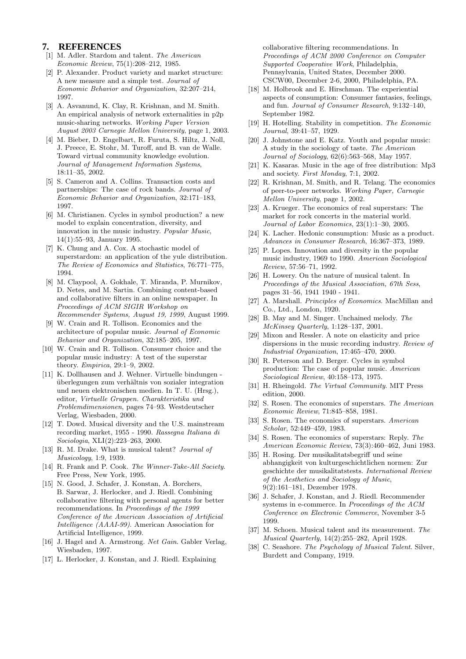### **7. REFERENCES**

- [1] M. Adler. Stardom and talent. The American Economic Review, 75(1):208–212, 1985.
- [2] P. Alexander. Product variety and market structure: A new measure and a simple test. Journal of Economic Behavior and Organization, 32:207–214, 1997.
- [3] A. Asvanund, K. Clay, R. Krishnan, and M. Smith. An empirical analysis of network externalities in p2p music-sharing networks. Working Paper Version August 2003 Carnegie Mellon University, page 1, 2003.
- [4] M. Bieber, D. Engelbart, R. Furuta, S. Hiltz, J. Noll, J. Preece, E. Stohr, M. Turoff, and B. van de Walle. Toward virtual community knowledge evolution. Journal of Management Information Systems, 18:11–35, 2002.
- [5] S. Cameron and A. Collins. Transaction costs and partnerships: The case of rock bands. Journal of Economic Behavior and Organization, 32:171–183, 1997.
- [6] M. Christianen. Cycles in symbol production? a new model to explain concentration, diversity, and innovation in the music industry. Popular Music, 14(1):55–93, January 1995.
- [7] K. Chung and A. Cox. A stochastic model of superstardom: an application of the yule distribution. The Review of Economics and Statistics, 76:771–775, 1994.
- [8] M. Claypool, A. Gokhale, T. Miranda, P. Murnikov, D. Netes, and M. Sartin. Combining content-based and collaborative filters in an online newspaper. In Proceedings of ACM SIGIR Workshop on Recommender Systems, August 19, 1999, August 1999.
- [9] W. Crain and R. Tollison. Economics and the architecture of popular music. Journal of Economic Behavior and Organization, 32:185–205, 1997.
- [10] W. Crain and R. Tollison. Consumer choice and the popular music industry: A test of the superstar theory. Empirica, 29:1–9, 2002.
- [11] K. Dollhausen and J. Wehner. Virtuelle bindungen -¨uberlegungen zum verh¨altnis von sozialer integration und neuen elektronischen medien. In T. U. (Hrsg.), editor, Virtuelle Gruppen. Charakteristika und Problemdimensionen, pages 74–93. Westdeutscher Verlag, Wiesbaden, 2000.
- [12] T. Dowd. Musical diversity and the U.S. mainstream recording market, 1955 - 1990. Rassegna Italiana di Sociologia, XLI(2):223–263, 2000.
- [13] R. M. Drake. What is musical talent? Journal of Musicology, 1:9, 1939.
- [14] R. Frank and P. Cook. The Winner-Take-All Society. Free Press, New York, 1995.
- [15] N. Good, J. Schafer, J. Konstan, A. Borchers, B. Sarwar, J. Herlocker, and J. Riedl. Combining collaborative filtering with personal agents for better recommendations. In Proceedings of the 1999 Conference of the American Association of Artificial Intelligence (AAAI-99). American Association for Artificial Intelligence, 1999.
- [16] J. Hagel and A. Armstrong. Net Gain. Gabler Verlag, Wiesbaden, 1997.
- [17] L. Herlocker, J. Konstan, and J. Riedl. Explaining

collaborative filtering recommendations. In Proceedings of ACM 2000 Conference on Computer Supported Cooperative Work, Philadelphia, Pennsylvania, United States, December 2000. CSCW00, December 2-6, 2000, Philadelphia, PA.

- [18] M. Holbrook and E. Hirschman. The experiential aspects of consumption: Consumer fantasies, feelings, and fun. Journal of Consumer Research, 9:132–140, September 1982.
- [19] H. Hotelling. Stability in competition. The Economic Journal, 39:41–57, 1929.
- [20] J. Johnstone and E. Katz. Youth and popular music: A study in the sociology of taste. The American Journal of Sociology, 62(6):563–568, May 1957.
- [21] K. Kasaras. Music in the age of free distribution: Mp3 and society. First Monday, 7:1, 2002.
- [22] R. Krishnan, M. Smith, and R. Telang. The economics of peer-to-peer networks. Working Paper, Carnegie Mellon University, page 1, 2002.
- [23] A. Krueger. The economics of real superstars: The market for rock concerts in the material world. Journal of Labor Economics, 23(1):1–30, 2005.
- [24] K. Lacher. Hedonic consumption: Music as a product. Advances in Consumer Research, 16:367–373, 1989.
- [25] P. Lopes. Innovation and diversity in the popular music industry, 1969 to 1990. American Sociological Review, 57:56–71, 1992.
- [26] H. Lowery. On the nature of musical talent. In Proceedings of the Musical Association, 67th Sess, pages 31–56, 1941 1940 - 1941.
- [27] A. Marshall. Principles of Economics. MacMillan and Co., Ltd., London, 1920.
- [28] B. May and M. Singer. Unchained melody. The McKinsey Quarterly, 1:128–137, 2001.
- [29] Mixon and Ressler. A note on elasticity and price dispersions in the music recording industry. Review of Industrial Organization, 17:465–470, 2000.
- [30] R. Peterson and D. Berger. Cycles in symbol production: The case of popular music. American Sociological Review, 40:158–173, 1975.
- [31] H. Rheingold. The Virtual Community. MIT Press edition, 2000.
- [32] S. Rosen. The economics of superstars. The American Economic Review, 71:845–858, 1981.
- [33] S. Rosen. The economics of superstars. American Scholar, 52:449–459, 1983.
- [34] S. Rosen. The economics of superstars: Reply. The American Economic Review, 73(3):460–462, Juni 1983.
- [35] H. Rosing. Der musikalitatsbegriff und seine abhangigkeit von kulturgeschichtlichen normen: Zur geschichte der musikalitatstests. International Review of the Aesthetics and Sociology of Music, 9(2):161–181, Dezember 1978.
- [36] J. Schafer, J. Konstan, and J. Riedl. Recommender systems in e-commerce. In Proceedings of the ACM Conference on Electronic Commerce, November 3-5 1999.
- [37] M. Schoen. Musical talent and its measurement. The Musical Quarterly, 14(2):255–282, April 1928.
- [38] C. Seashore. The Psychology of Musical Talent. Silver, Burdett and Company, 1919.